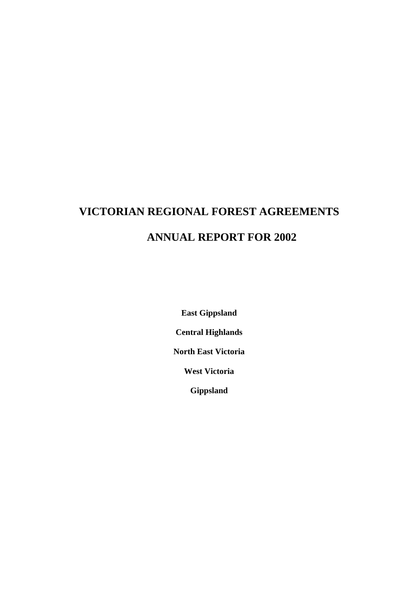## **VICTORIAN REGIONAL FOREST AGREEMENTS ANNUAL REPORT FOR 2002**

**East Gippsland** 

**Central Highlands** 

**North East Victoria** 

**West Victoria** 

**Gippsland**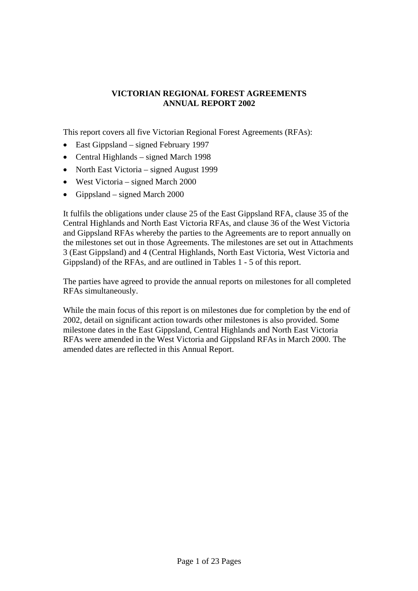## **VICTORIAN REGIONAL FOREST AGREEMENTS ANNUAL REPORT 2002**

This report covers all five Victorian Regional Forest Agreements (RFAs):

- East Gippsland signed February 1997
- Central Highlands signed March 1998
- North East Victoria signed August 1999
- West Victoria signed March 2000
- Gippsland signed March 2000

It fulfils the obligations under clause 25 of the East Gippsland RFA, clause 35 of the Central Highlands and North East Victoria RFAs, and clause 36 of the West Victoria and Gippsland RFAs whereby the parties to the Agreements are to report annually on the milestones set out in those Agreements. The milestones are set out in Attachments 3 (East Gippsland) and 4 (Central Highlands, North East Victoria, West Victoria and Gippsland) of the RFAs, and are outlined in Tables 1 - 5 of this report.

The parties have agreed to provide the annual reports on milestones for all completed RFAs simultaneously.

While the main focus of this report is on milestones due for completion by the end of 2002, detail on significant action towards other milestones is also provided. Some milestone dates in the East Gippsland, Central Highlands and North East Victoria RFAs were amended in the West Victoria and Gippsland RFAs in March 2000. The amended dates are reflected in this Annual Report.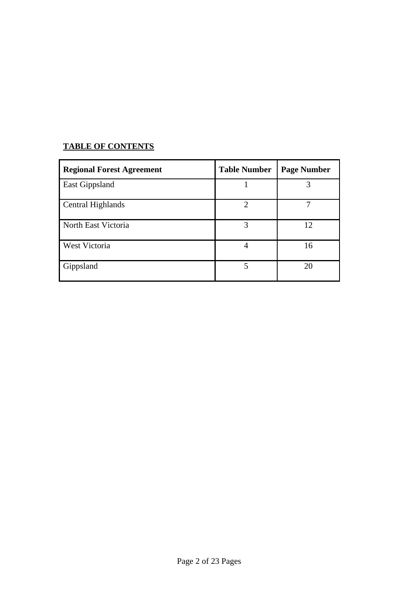## **TABLE OF CONTENTS**

| <b>Regional Forest Agreement</b> | <b>Table Number</b> | <b>Page Number</b> |
|----------------------------------|---------------------|--------------------|
| <b>East Gippsland</b>            |                     |                    |
| Central Highlands                | $\mathcal{D}$       |                    |
| North East Victoria              | 3                   | 12                 |
| West Victoria                    | 4                   | 16                 |
| Gippsland                        | 5                   | 20                 |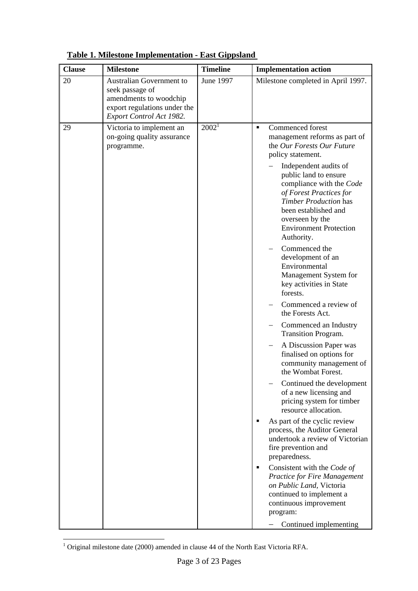| <b>Clause</b> | <b>Milestone</b>                                                                                                                  | <b>Timeline</b>   | <b>Implementation action</b>                                                                                                                                                                                                                                                                                                                                                                                                                                                                                                                                                                                                                                                                                                                                                                                                                                                                                                                                                                                                                                                                                                                   |
|---------------|-----------------------------------------------------------------------------------------------------------------------------------|-------------------|------------------------------------------------------------------------------------------------------------------------------------------------------------------------------------------------------------------------------------------------------------------------------------------------------------------------------------------------------------------------------------------------------------------------------------------------------------------------------------------------------------------------------------------------------------------------------------------------------------------------------------------------------------------------------------------------------------------------------------------------------------------------------------------------------------------------------------------------------------------------------------------------------------------------------------------------------------------------------------------------------------------------------------------------------------------------------------------------------------------------------------------------|
| 20            | Australian Government to<br>seek passage of<br>amendments to woodchip<br>export regulations under the<br>Export Control Act 1982. | June 1997         | Milestone completed in April 1997.                                                                                                                                                                                                                                                                                                                                                                                                                                                                                                                                                                                                                                                                                                                                                                                                                                                                                                                                                                                                                                                                                                             |
| 29            | Victoria to implement an<br>on-going quality assurance<br>programme.                                                              | 2002 <sup>1</sup> | Commenced forest<br>$\blacksquare$<br>management reforms as part of<br>the Our Forests Our Future<br>policy statement.<br>Independent audits of<br>public land to ensure<br>compliance with the Code<br>of Forest Practices for<br><b>Timber Production has</b><br>been established and<br>overseen by the<br><b>Environment Protection</b><br>Authority.<br>Commenced the<br>development of an<br>Environmental<br>Management System for<br>key activities in State<br>forests.<br>Commenced a review of<br>the Forests Act.<br>Commenced an Industry<br>Transition Program.<br>A Discussion Paper was<br>finalised on options for<br>community management of<br>the Wombat Forest.<br>Continued the development<br>of a new licensing and<br>pricing system for timber<br>resource allocation.<br>As part of the cyclic review<br>process, the Auditor General<br>undertook a review of Victorian<br>fire prevention and<br>preparedness.<br>Consistent with the Code of<br>٠<br><b>Practice for Fire Management</b><br>on Public Land, Victoria<br>continued to implement a<br>continuous improvement<br>program:<br>Continued implementing |

**Table 1. Milestone Implementation - East Gippsland** 

<span id="page-3-0"></span> 1 Original milestone date (2000) amended in clause 44 of the North East Victoria RFA.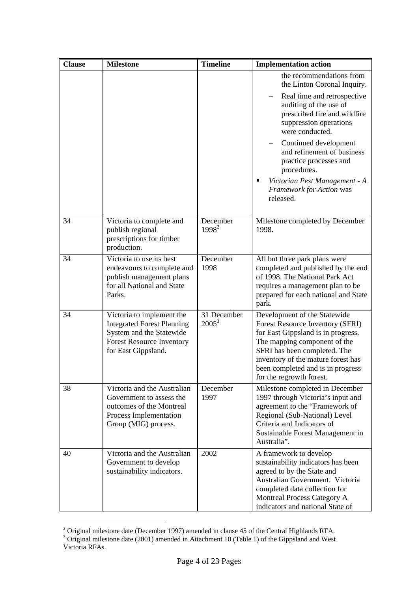| <b>Clause</b> | <b>Milestone</b>                                                                                                                                      | <b>Timeline</b>         | <b>Implementation action</b>                                                                                                                                                                                                                                                                                                                                                        |
|---------------|-------------------------------------------------------------------------------------------------------------------------------------------------------|-------------------------|-------------------------------------------------------------------------------------------------------------------------------------------------------------------------------------------------------------------------------------------------------------------------------------------------------------------------------------------------------------------------------------|
|               |                                                                                                                                                       |                         | the recommendations from<br>the Linton Coronal Inquiry.<br>Real time and retrospective<br>auditing of the use of<br>prescribed fire and wildfire<br>suppression operations<br>were conducted.<br>Continued development<br>and refinement of business<br>practice processes and<br>procedures.<br>Victorian Pest Management - A<br>٠<br><b>Framework for Action was</b><br>released. |
| 34            | Victoria to complete and<br>publish regional<br>prescriptions for timber<br>production.                                                               | December<br>$1998^2$    | Milestone completed by December<br>1998.                                                                                                                                                                                                                                                                                                                                            |
| 34            | Victoria to use its best<br>endeavours to complete and<br>publish management plans<br>for all National and State<br>Parks.                            | December<br>1998        | All but three park plans were<br>completed and published by the end<br>of 1998. The National Park Act<br>requires a management plan to be<br>prepared for each national and State<br>park.                                                                                                                                                                                          |
| 34            | Victoria to implement the<br><b>Integrated Forest Planning</b><br>System and the Statewide<br><b>Forest Resource Inventory</b><br>for East Gippsland. | 31 December<br>$2005^3$ | Development of the Statewide<br>Forest Resource Inventory (SFRI)<br>for East Gippsland is in progress.<br>The mapping component of the<br>SFRI has been completed. The<br>inventory of the mature forest has<br>been completed and is in progress<br>for the regrowth forest.                                                                                                       |
| 38            | Victoria and the Australian<br>Government to assess the<br>outcomes of the Montreal<br>Process Implementation<br>Group (MIG) process.                 | December<br>1997        | Milestone completed in December<br>1997 through Victoria's input and<br>agreement to the "Framework of<br>Regional (Sub-National) Level<br>Criteria and Indicators of<br>Sustainable Forest Management in<br>Australia".                                                                                                                                                            |
| 40            | Victoria and the Australian<br>Government to develop<br>sustainability indicators.                                                                    | 2002                    | A framework to develop<br>sustainability indicators has been<br>agreed to by the State and<br>Australian Government. Victoria<br>completed data collection for<br><b>Montreal Process Category A</b><br>indicators and national State of                                                                                                                                            |

<sup>&</sup>lt;sup>2</sup> Original milestone date (December 1997) amended in clause 45 of the Central Highlands RFA.<br><sup>3</sup> Original milestone date (2001) amended in Attachment 10 (Table 1) of the Gippsland and West

<span id="page-4-1"></span><span id="page-4-0"></span>Victoria RFAs.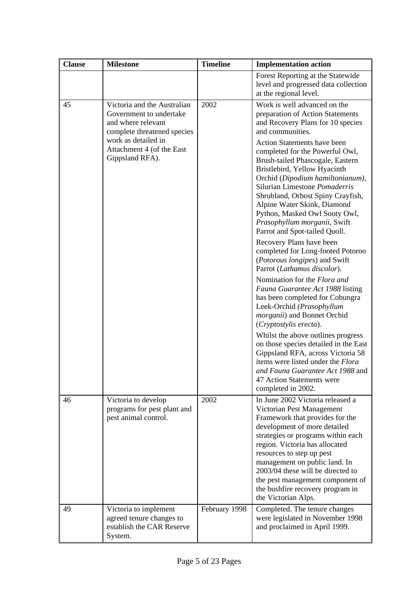| <b>Clause</b> | <b>Milestone</b>                                                                                            | <b>Timeline</b> | <b>Implementation action</b>                                                                                                                                                                                                                                                                                                                                                                                                                          |
|---------------|-------------------------------------------------------------------------------------------------------------|-----------------|-------------------------------------------------------------------------------------------------------------------------------------------------------------------------------------------------------------------------------------------------------------------------------------------------------------------------------------------------------------------------------------------------------------------------------------------------------|
|               |                                                                                                             |                 | Forest Reporting at the Statewide<br>level and progressed data collection<br>at the regional level.                                                                                                                                                                                                                                                                                                                                                   |
| 45            | Victoria and the Australian<br>Government to undertake<br>and where relevant<br>complete threatened species | 2002            | Work is well advanced on the<br>preparation of Action Statements<br>and Recovery Plans for 10 species<br>and communities.                                                                                                                                                                                                                                                                                                                             |
|               | work as detailed in<br>Attachment 4 (of the East<br>Gippsland RFA).                                         |                 | <b>Action Statements have been</b><br>completed for the Powerful Owl,<br>Brush-tailed Phascogale, Eastern<br>Bristlebird, Yellow Hyacinth<br>Orchid (Dipodium hamiltonianum),<br>Silurian Limestone Pomaderris<br>Shrubland, Orbost Spiny Crayfish,<br>Alpine Water Skink, Diamond<br>Python, Masked Owl Sooty Owl,<br>Prasophyllum morganii, Swift<br>Parrot and Spot-tailed Quoll.<br>Recovery Plans have been<br>completed for Long-footed Potoroo |
|               |                                                                                                             |                 | (Potorous longipes) and Swift<br>Parrot (Lathamus discolor).<br>Nomination for the Flora and<br>Fauna Guarantee Act 1988 listing                                                                                                                                                                                                                                                                                                                      |
|               |                                                                                                             |                 | has been completed for Cobungra<br>Leek-Orchid (Prasophyllum<br><i>morganii</i> ) and Bonnet Orchid<br>(Cryptostylis erecta).                                                                                                                                                                                                                                                                                                                         |
|               |                                                                                                             |                 | Whilst the above outlines progress<br>on those species detailed in the East<br>Gippsland RFA, across Victoria 58<br>items were listed under the Flora<br><i>and Fauna Guarantee Act 1988</i> and 1<br>47 Action Statements were<br>completed in 2002.                                                                                                                                                                                                 |
| 46            | Victoria to develop<br>programs for pest plant and<br>pest animal control.                                  | 2002            | In June 2002 Victoria released a<br>Victorian Pest Management<br>Framework that provides for the<br>development of more detailed<br>strategies or programs within each<br>region. Victoria has allocated<br>resources to step up pest<br>management on public land. In<br>2003/04 these will be directed to<br>the pest management component of<br>the bushfire recovery program in<br>the Victorian Alps.                                            |
| 49            | Victoria to implement<br>agreed tenure changes to<br>establish the CAR Reserve<br>System.                   | February 1998   | Completed. The tenure changes<br>were legislated in November 1998<br>and proclaimed in April 1999.                                                                                                                                                                                                                                                                                                                                                    |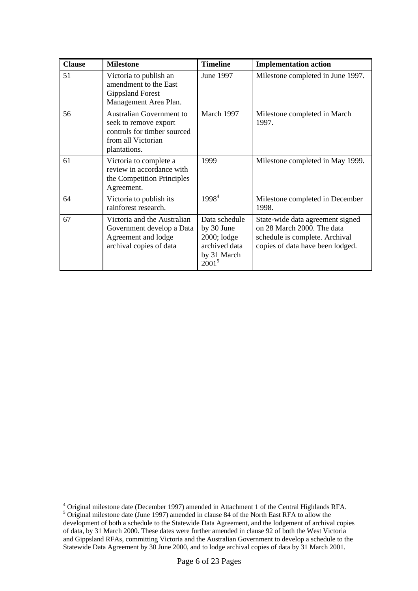| <b>Clause</b> | <b>Milestone</b>                                                                                                              | <b>Timeline</b>                                                                        | <b>Implementation action</b>                                                                                                         |
|---------------|-------------------------------------------------------------------------------------------------------------------------------|----------------------------------------------------------------------------------------|--------------------------------------------------------------------------------------------------------------------------------------|
| 51            | Victoria to publish an<br>amendment to the East<br><b>Gippsland Forest</b><br>Management Area Plan.                           | June 1997                                                                              | Milestone completed in June 1997.                                                                                                    |
| 56            | <b>Australian Government to</b><br>seek to remove export<br>controls for timber sourced<br>from all Victorian<br>plantations. | March 1997                                                                             | Milestone completed in March<br>1997.                                                                                                |
| 61            | Victoria to complete a<br>review in accordance with<br>the Competition Principles<br>Agreement.                               | 1999                                                                                   | Milestone completed in May 1999.                                                                                                     |
| 64            | Victoria to publish its<br>rainforest research.                                                                               | 1998 <sup>4</sup>                                                                      | Milestone completed in December<br>1998.                                                                                             |
| 67            | Victoria and the Australian<br>Government develop a Data<br>Agreement and lodge<br>archival copies of data                    | Data schedule<br>by 30 June<br>2000; lodge<br>archived data<br>by 31 March<br>$2001^5$ | State-wide data agreement signed<br>on 28 March 2000. The data<br>schedule is complete. Archival<br>copies of data have been lodged. |

<span id="page-6-1"></span><span id="page-6-0"></span><sup>4&</sup>lt;br>
<sup>4</sup> Original milestone date (December 1997) amended in Attachment 1 of the Central Highlands RFA.<br>
<sup>5</sup> Original milestone date (June 1997) amended in clause 84 of the North East RFA to allow the development of both a schedule to the Statewide Data Agreement, and the lodgement of archival copies of data, by 31 March 2000. These dates were further amended in clause 92 of both the West Victoria and Gippsland RFAs, committing Victoria and the Australian Government to develop a schedule to the Statewide Data Agreement by 30 June 2000, and to lodge archival copies of data by 31 March 2001.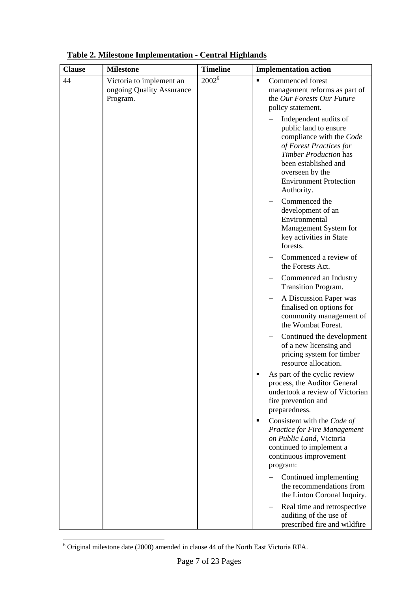| <b>Clause</b> | <b>Milestone</b>                                                  | <b>Timeline</b> | <b>Implementation action</b>                                                                                                                                                                                                    |
|---------------|-------------------------------------------------------------------|-----------------|---------------------------------------------------------------------------------------------------------------------------------------------------------------------------------------------------------------------------------|
| 44            | Victoria to implement an<br>ongoing Quality Assurance<br>Program. | $2002^6$        | Commenced forest<br>$\blacksquare$<br>management reforms as part of<br>the Our Forests Our Future<br>policy statement.                                                                                                          |
|               |                                                                   |                 | Independent audits of<br>public land to ensure<br>compliance with the Code<br>of Forest Practices for<br><b>Timber Production has</b><br>been established and<br>overseen by the<br><b>Environment Protection</b><br>Authority. |
|               |                                                                   |                 | Commenced the<br>development of an<br>Environmental<br>Management System for<br>key activities in State<br>forests.                                                                                                             |
|               |                                                                   |                 | Commenced a review of<br>the Forests Act.                                                                                                                                                                                       |
|               |                                                                   |                 | Commenced an Industry<br>Transition Program.                                                                                                                                                                                    |
|               |                                                                   |                 | A Discussion Paper was<br>finalised on options for<br>community management of<br>the Wombat Forest.                                                                                                                             |
|               |                                                                   |                 | Continued the development<br>of a new licensing and<br>pricing system for timber<br>resource allocation.                                                                                                                        |
|               |                                                                   |                 | As part of the cyclic review<br>process, the Auditor General<br>undertook a review of Victorian<br>fire prevention and<br>preparedness.                                                                                         |
|               |                                                                   |                 | Consistent with the Code of<br>٠<br><b>Practice for Fire Management</b><br>on Public Land, Victoria<br>continued to implement a<br>continuous improvement<br>program:                                                           |
|               |                                                                   |                 | Continued implementing<br>the recommendations from<br>the Linton Coronal Inquiry.                                                                                                                                               |
|               |                                                                   |                 | Real time and retrospective<br>auditing of the use of<br>prescribed fire and wildfire                                                                                                                                           |

**Table 2. Milestone Implementation - Central Highlands**

<span id="page-7-0"></span> 6 Original milestone date (2000) amended in clause 44 of the North East Victoria RFA.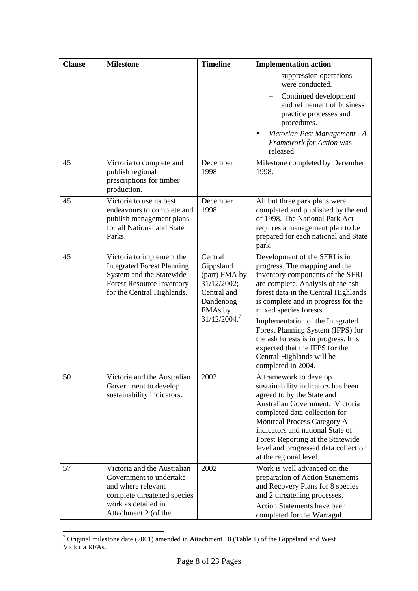| <b>Clause</b> | <b>Milestone</b>                                                                                                                                             | <b>Timeline</b>                                                                                             | <b>Implementation action</b>                                                                                                                                                                                                                                                                                                                                                                                                                            |
|---------------|--------------------------------------------------------------------------------------------------------------------------------------------------------------|-------------------------------------------------------------------------------------------------------------|---------------------------------------------------------------------------------------------------------------------------------------------------------------------------------------------------------------------------------------------------------------------------------------------------------------------------------------------------------------------------------------------------------------------------------------------------------|
|               |                                                                                                                                                              |                                                                                                             | suppression operations<br>were conducted.                                                                                                                                                                                                                                                                                                                                                                                                               |
|               |                                                                                                                                                              |                                                                                                             | Continued development<br>and refinement of business<br>practice processes and<br>procedures.                                                                                                                                                                                                                                                                                                                                                            |
|               |                                                                                                                                                              |                                                                                                             | Victorian Pest Management - A<br>п<br>Framework for Action was<br>released.                                                                                                                                                                                                                                                                                                                                                                             |
| 45            | Victoria to complete and<br>publish regional<br>prescriptions for timber<br>production.                                                                      | December<br>1998                                                                                            | Milestone completed by December<br>1998.                                                                                                                                                                                                                                                                                                                                                                                                                |
| 45            | Victoria to use its best<br>endeavours to complete and<br>publish management plans<br>for all National and State<br>Parks.                                   | December<br>1998                                                                                            | All but three park plans were<br>completed and published by the end<br>of 1998. The National Park Act<br>requires a management plan to be<br>prepared for each national and State<br>park.                                                                                                                                                                                                                                                              |
| 45            | Victoria to implement the<br><b>Integrated Forest Planning</b><br>System and the Statewide<br><b>Forest Resource Inventory</b><br>for the Central Highlands. | Central<br>Gippsland<br>(part) FMA by<br>31/12/2002;<br>Central and<br>Dandenong<br>FMAs by<br>31/12/2004.7 | Development of the SFRI is in<br>progress. The mapping and the<br>inventory components of the SFRI<br>are complete. Analysis of the ash<br>forest data in the Central Highlands<br>is complete and in progress for the<br>mixed species forests.<br>Implementation of the Integrated<br>Forest Planning System (IFPS) for<br>the ash forests is in progress. It is<br>expected that the IFPS for the<br>Central Highlands will be<br>completed in 2004. |
| 50            | Victoria and the Australian<br>Government to develop<br>sustainability indicators.                                                                           | 2002                                                                                                        | A framework to develop<br>sustainability indicators has been<br>agreed to by the State and<br>Australian Government. Victoria<br>completed data collection for<br>Montreal Process Category A<br>indicators and national State of<br>Forest Reporting at the Statewide<br>level and progressed data collection<br>at the regional level.                                                                                                                |
| 57            | Victoria and the Australian<br>Government to undertake<br>and where relevant<br>complete threatened species<br>work as detailed in<br>Attachment 2 (of the   | 2002                                                                                                        | Work is well advanced on the<br>preparation of Action Statements<br>and Recovery Plans for 8 species<br>and 2 threatening processes.<br><b>Action Statements have been</b><br>completed for the Warragul                                                                                                                                                                                                                                                |

<span id="page-8-0"></span> 7 Original milestone date (2001) amended in Attachment 10 (Table 1) of the Gippsland and West Victoria RFAs.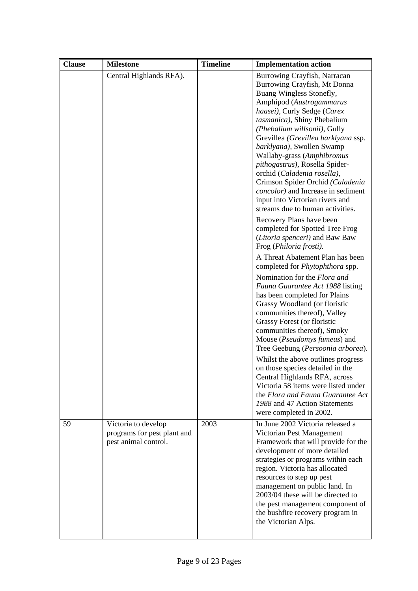| <b>Clause</b> | <b>Milestone</b>                                                           | <b>Timeline</b> | <b>Implementation action</b>                                                                                                                                                                                                                                                                                                                                                                                                                                                                                                                                                                       |
|---------------|----------------------------------------------------------------------------|-----------------|----------------------------------------------------------------------------------------------------------------------------------------------------------------------------------------------------------------------------------------------------------------------------------------------------------------------------------------------------------------------------------------------------------------------------------------------------------------------------------------------------------------------------------------------------------------------------------------------------|
|               | Central Highlands RFA).                                                    |                 | Burrowing Crayfish, Narracan<br>Burrowing Crayfish, Mt Donna<br>Buang Wingless Stonefly,<br>Amphipod (Austrogammarus<br>haasei), Curly Sedge (Carex<br>tasmanica), Shiny Phebalium<br>(Phebalium willsonii), Gully<br>Grevillea (Grevillea barklyana ssp.<br>barklyana), Swollen Swamp<br>Wallaby-grass (Amphibromus<br>pithogastrus), Rosella Spider-<br>orchid (Caladenia rosella),<br>Crimson Spider Orchid (Caladenia<br><i>concolor</i> ) and Increase in sediment<br>input into Victorian rivers and<br>streams due to human activities.                                                     |
|               |                                                                            |                 | Recovery Plans have been<br>completed for Spotted Tree Frog<br>(Litoria spenceri) and Baw Baw<br>Frog (Philoria frosti).<br>A Threat Abatement Plan has been                                                                                                                                                                                                                                                                                                                                                                                                                                       |
|               |                                                                            |                 | completed for <i>Phytophthora</i> spp.<br>Nomination for the Flora and<br>Fauna Guarantee Act 1988 listing<br>has been completed for Plains<br>Grassy Woodland (or floristic<br>communities thereof), Valley<br>Grassy Forest (or floristic<br>communities thereof), Smoky<br>Mouse (Pseudomys fumeus) and<br>Tree Geebung (Persoonia arborea).<br>Whilst the above outlines progress<br>on those species detailed in the<br>Central Highlands RFA, across<br>Victoria 58 items were listed under<br>the Flora and Fauna Guarantee Act<br>1988 and 47 Action Statements<br>were completed in 2002. |
| 59            | Victoria to develop<br>programs for pest plant and<br>pest animal control. | 2003            | In June 2002 Victoria released a<br>Victorian Pest Management<br>Framework that will provide for the<br>development of more detailed<br>strategies or programs within each<br>region. Victoria has allocated<br>resources to step up pest<br>management on public land. In<br>2003/04 these will be directed to<br>the pest management component of<br>the bushfire recovery program in<br>the Victorian Alps.                                                                                                                                                                                     |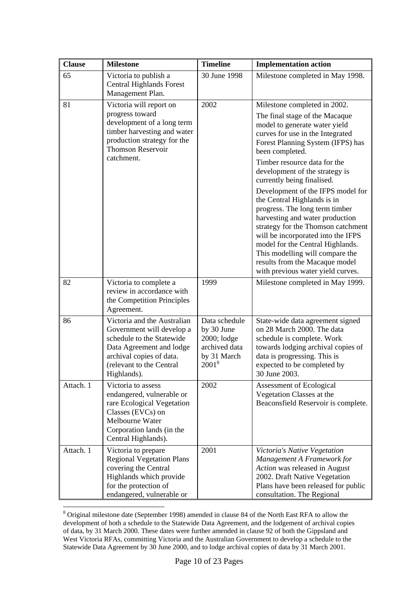| <b>Clause</b> | <b>Milestone</b>                                                                                                                                                                         | <b>Timeline</b>                                                                        | <b>Implementation action</b>                                                                                                                                                                                                                                                                                                                                                                                                         |
|---------------|------------------------------------------------------------------------------------------------------------------------------------------------------------------------------------------|----------------------------------------------------------------------------------------|--------------------------------------------------------------------------------------------------------------------------------------------------------------------------------------------------------------------------------------------------------------------------------------------------------------------------------------------------------------------------------------------------------------------------------------|
| 65            | Victoria to publish a<br><b>Central Highlands Forest</b><br>Management Plan.                                                                                                             | 30 June 1998                                                                           | Milestone completed in May 1998.                                                                                                                                                                                                                                                                                                                                                                                                     |
| 81            | Victoria will report on<br>progress toward<br>development of a long term<br>timber harvesting and water<br>production strategy for the<br><b>Thomson Reservoir</b><br>catchment.         | 2002                                                                                   | Milestone completed in 2002.<br>The final stage of the Macaque<br>model to generate water yield<br>curves for use in the Integrated<br>Forest Planning System (IFPS) has<br>been completed.<br>Timber resource data for the<br>development of the strategy is<br>currently being finalised.<br>Development of the IFPS model for<br>the Central Highlands is in<br>progress. The long term timber<br>harvesting and water production |
|               |                                                                                                                                                                                          |                                                                                        | strategy for the Thomson catchment<br>will be incorporated into the IFPS<br>model for the Central Highlands.<br>This modelling will compare the<br>results from the Macaque model<br>with previous water yield curves.                                                                                                                                                                                                               |
| 82            | Victoria to complete a<br>review in accordance with<br>the Competition Principles<br>Agreement.                                                                                          | 1999                                                                                   | Milestone completed in May 1999.                                                                                                                                                                                                                                                                                                                                                                                                     |
| 86            | Victoria and the Australian<br>Government will develop a<br>schedule to the Statewide<br>Data Agreement and lodge<br>archival copies of data.<br>(relevant to the Central<br>Highlands). | Data schedule<br>by 30 June<br>2000; lodge<br>archived data<br>by 31 March<br>$2001^8$ | State-wide data agreement signed<br>on 28 March 2000. The data<br>schedule is complete. Work<br>towards lodging archival copies of<br>data is progressing. This is<br>expected to be completed by<br>30 June 2003.                                                                                                                                                                                                                   |
| Attach. 1     | Victoria to assess<br>endangered, vulnerable or<br>rare Ecological Vegetation<br>Classes (EVCs) on<br>Melbourne Water<br>Corporation lands (in the<br>Central Highlands).                | 2002                                                                                   | Assessment of Ecological<br>Vegetation Classes at the<br>Beaconsfield Reservoir is complete.                                                                                                                                                                                                                                                                                                                                         |
| Attach. 1     | Victoria to prepare<br><b>Regional Vegetation Plans</b><br>covering the Central<br>Highlands which provide<br>for the protection of<br>endangered, vulnerable or                         | 2001                                                                                   | Victoria's Native Vegetation<br>Management A Framework for<br>Action was released in August<br>2002. Draft Native Vegetation<br>Plans have been released for public<br>consultation. The Regional                                                                                                                                                                                                                                    |

<span id="page-10-0"></span><sup>&</sup>lt;sup>8</sup> Original milestone date (September 1998) amended in clause 84 of the North East RFA to allow the development of both a schedule to the Statewide Data Agreement, and the lodgement of archival copies of data, by 31 March 2000. These dates were further amended in clause 92 of both the Gippsland and West Victoria RFAs, committing Victoria and the Australian Government to develop a schedule to the Statewide Data Agreement by 30 June 2000, and to lodge archival copies of data by 31 March 2001.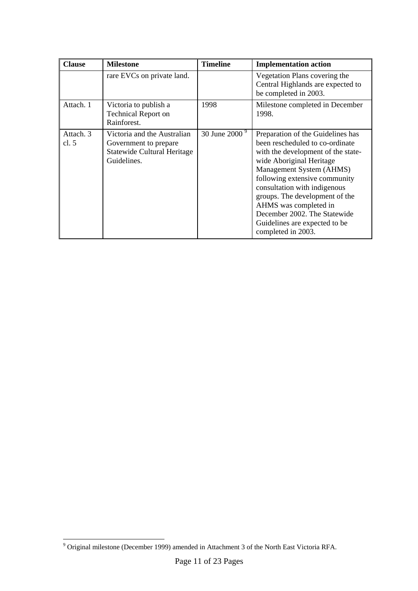| <b>Clause</b>        | <b>Milestone</b>                                                                                          | <b>Timeline</b>           | <b>Implementation action</b>                                                                                                                                                                                                                                                                                                                                                          |
|----------------------|-----------------------------------------------------------------------------------------------------------|---------------------------|---------------------------------------------------------------------------------------------------------------------------------------------------------------------------------------------------------------------------------------------------------------------------------------------------------------------------------------------------------------------------------------|
|                      | rare EVCs on private land.                                                                                |                           | Vegetation Plans covering the<br>Central Highlands are expected to<br>be completed in 2003.                                                                                                                                                                                                                                                                                           |
| Attach. 1            | Victoria to publish a<br><b>Technical Report on</b><br>Rainforest.                                        | 1998                      | Milestone completed in December<br>1998.                                                                                                                                                                                                                                                                                                                                              |
| Attach. 3<br>cl. $5$ | Victoria and the Australian<br>Government to prepare<br><b>Statewide Cultural Heritage</b><br>Guidelines. | 30 June 2000 <sup>9</sup> | Preparation of the Guidelines has<br>been rescheduled to co-ordinate<br>with the development of the state-<br>wide Aboriginal Heritage<br>Management System (AHMS)<br>following extensive community<br>consultation with indigenous<br>groups. The development of the<br>AHMS was completed in<br>December 2002. The Statewide<br>Guidelines are expected to be<br>completed in 2003. |

<span id="page-11-0"></span> 9 Original milestone (December 1999) amended in Attachment 3 of the North East Victoria RFA.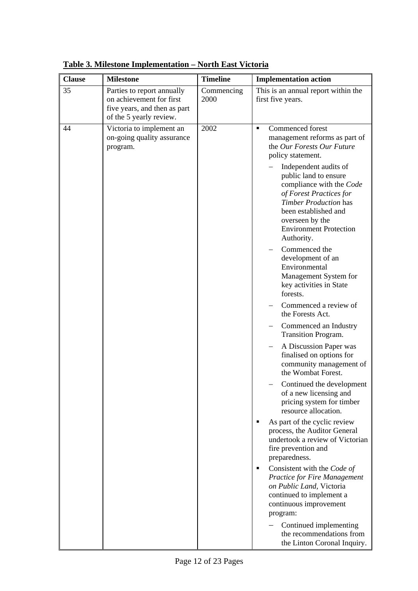| <b>Clause</b> | <b>Milestone</b>                                                                                                  | <b>Timeline</b>    | <b>Implementation action</b>                                                                                                                                                                                                                                                                                                                                                                                                                                                                                                                                                                                                                                                                                                                                                                                                                                                                                                                                                                                                                                                                                                                                                                                   |
|---------------|-------------------------------------------------------------------------------------------------------------------|--------------------|----------------------------------------------------------------------------------------------------------------------------------------------------------------------------------------------------------------------------------------------------------------------------------------------------------------------------------------------------------------------------------------------------------------------------------------------------------------------------------------------------------------------------------------------------------------------------------------------------------------------------------------------------------------------------------------------------------------------------------------------------------------------------------------------------------------------------------------------------------------------------------------------------------------------------------------------------------------------------------------------------------------------------------------------------------------------------------------------------------------------------------------------------------------------------------------------------------------|
| 35            | Parties to report annually<br>on achievement for first<br>five years, and then as part<br>of the 5 yearly review. | Commencing<br>2000 | This is an annual report within the<br>first five years.                                                                                                                                                                                                                                                                                                                                                                                                                                                                                                                                                                                                                                                                                                                                                                                                                                                                                                                                                                                                                                                                                                                                                       |
| 44            | Victoria to implement an<br>on-going quality assurance<br>program.                                                | 2002               | Commenced forest<br>$\blacksquare$<br>management reforms as part of<br>the Our Forests Our Future<br>policy statement.<br>Independent audits of<br>public land to ensure<br>compliance with the Code<br>of Forest Practices for<br><b>Timber Production has</b><br>been established and<br>overseen by the<br><b>Environment Protection</b><br>Authority.<br>Commenced the<br>development of an<br>Environmental<br>Management System for<br>key activities in State<br>forests.<br>Commenced a review of<br>the Forests Act.<br>Commenced an Industry<br>Transition Program.<br>A Discussion Paper was<br>finalised on options for<br>community management of<br>the Wombat Forest.<br>Continued the development<br>of a new licensing and<br>pricing system for timber<br>resource allocation.<br>As part of the cyclic review<br>٠<br>process, the Auditor General<br>undertook a review of Victorian<br>fire prevention and<br>preparedness.<br>Consistent with the Code of<br>٠<br><b>Practice for Fire Management</b><br>on Public Land, Victoria<br>continued to implement a<br>continuous improvement<br>program:<br>Continued implementing<br>the recommendations from<br>the Linton Coronal Inquiry. |

**Table 3. Milestone Implementation – North East Victoria**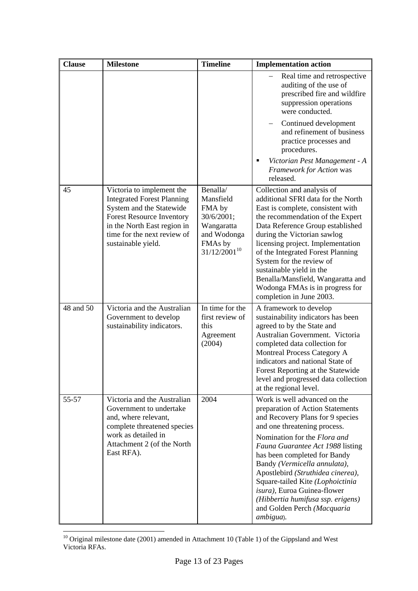| <b>Clause</b> | <b>Milestone</b>                                                                                                                                                                                                   | <b>Timeline</b>                                                                                            | <b>Implementation action</b>                                                                                                                                                                                                                                                                                                                                                                                                                                      |
|---------------|--------------------------------------------------------------------------------------------------------------------------------------------------------------------------------------------------------------------|------------------------------------------------------------------------------------------------------------|-------------------------------------------------------------------------------------------------------------------------------------------------------------------------------------------------------------------------------------------------------------------------------------------------------------------------------------------------------------------------------------------------------------------------------------------------------------------|
|               |                                                                                                                                                                                                                    |                                                                                                            | Real time and retrospective<br>auditing of the use of<br>prescribed fire and wildfire<br>suppression operations<br>were conducted.<br>Continued development<br>and refinement of business<br>practice processes and<br>procedures.                                                                                                                                                                                                                                |
|               |                                                                                                                                                                                                                    |                                                                                                            | Victorian Pest Management - A<br>$\blacksquare$<br>Framework for Action was<br>released.                                                                                                                                                                                                                                                                                                                                                                          |
| 45            | Victoria to implement the<br><b>Integrated Forest Planning</b><br>System and the Statewide<br><b>Forest Resource Inventory</b><br>in the North East region in<br>time for the next review of<br>sustainable yield. | Benalla/<br>Mansfield<br>FMA by<br>30/6/2001;<br>Wangaratta<br>and Wodonga<br>FMAs by<br>$31/12/2001^{10}$ | Collection and analysis of<br>additional SFRI data for the North<br>East is complete, consistent with<br>the recommendation of the Expert<br>Data Reference Group established<br>during the Victorian sawlog<br>licensing project. Implementation<br>of the Integrated Forest Planning<br>System for the review of<br>sustainable yield in the<br>Benalla/Mansfield, Wangaratta and<br>Wodonga FMAs is in progress for<br>completion in June 2003.                |
| 48 and 50     | Victoria and the Australian<br>Government to develop<br>sustainability indicators.                                                                                                                                 | In time for the<br>first review of<br>this<br>Agreement<br>(2004)                                          | A framework to develop<br>sustainability indicators has been<br>agreed to by the State and<br>Australian Government. Victoria<br>completed data collection for<br>Montreal Process Category A<br>indicators and national State of<br>Forest Reporting at the Statewide<br>level and progressed data collection<br>at the regional level.                                                                                                                          |
| 55-57         | Victoria and the Australian<br>Government to undertake<br>and, where relevant,<br>complete threatened species<br>work as detailed in<br>Attachment 2 (of the North<br>East RFA).                                   | 2004                                                                                                       | Work is well advanced on the<br>preparation of Action Statements<br>and Recovery Plans for 9 species<br>and one threatening process.<br>Nomination for the Flora and<br>Fauna Guarantee Act 1988 listing<br>has been completed for Bandy<br>Bandy (Vermicella annulata),<br>Apostlebird (Struthidea cinerea),<br>Square-tailed Kite (Lophoictinia<br>isura), Euroa Guinea-flower<br>(Hibbertia humifusa ssp. erigens)<br>and Golden Perch (Macquaria<br>ambigua). |

<span id="page-13-0"></span> $10$  Original milestone date (2001) amended in Attachment 10 (Table 1) of the Gippsland and West Victoria RFAs.

 $\overline{a}$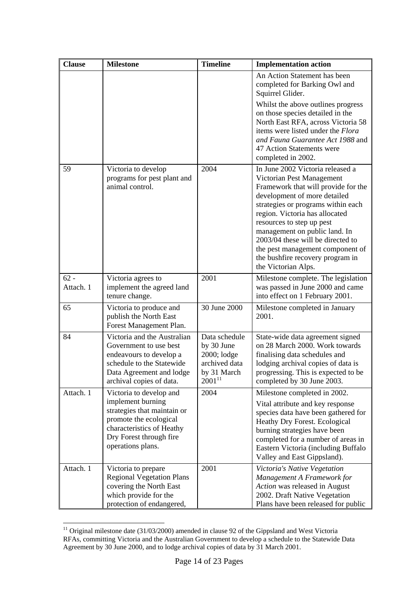| <b>Clause</b>       | <b>Milestone</b>                                                                                                                                                                   | <b>Timeline</b>                                                                           | <b>Implementation action</b>                                                                                                                                                                                                                                                                                                                                                                                   |
|---------------------|------------------------------------------------------------------------------------------------------------------------------------------------------------------------------------|-------------------------------------------------------------------------------------------|----------------------------------------------------------------------------------------------------------------------------------------------------------------------------------------------------------------------------------------------------------------------------------------------------------------------------------------------------------------------------------------------------------------|
|                     |                                                                                                                                                                                    |                                                                                           | An Action Statement has been<br>completed for Barking Owl and<br>Squirrel Glider.                                                                                                                                                                                                                                                                                                                              |
|                     |                                                                                                                                                                                    |                                                                                           | Whilst the above outlines progress<br>on those species detailed in the<br>North East RFA, across Victoria 58<br>items were listed under the Flora<br>and Fauna Guarantee Act 1988 and<br>47 Action Statements were<br>completed in 2002.                                                                                                                                                                       |
| 59                  | Victoria to develop<br>programs for pest plant and<br>animal control.                                                                                                              | 2004                                                                                      | In June 2002 Victoria released a<br>Victorian Pest Management<br>Framework that will provide for the<br>development of more detailed<br>strategies or programs within each<br>region. Victoria has allocated<br>resources to step up pest<br>management on public land. In<br>2003/04 these will be directed to<br>the pest management component of<br>the bushfire recovery program in<br>the Victorian Alps. |
| $62 -$<br>Attach. 1 | Victoria agrees to<br>implement the agreed land<br>tenure change.                                                                                                                  | 2001                                                                                      | Milestone complete. The legislation<br>was passed in June 2000 and came<br>into effect on 1 February 2001.                                                                                                                                                                                                                                                                                                     |
| 65                  | Victoria to produce and<br>publish the North East<br>Forest Management Plan.                                                                                                       | 30 June 2000                                                                              | Milestone completed in January<br>2001.                                                                                                                                                                                                                                                                                                                                                                        |
| 84                  | Victoria and the Australian<br>Government to use best<br>endeavours to develop a<br>schedule to the Statewide<br>Data Agreement and lodge<br>archival copies of data.              | Data schedule<br>by 30 June<br>2000; lodge<br>archived data<br>by 31 March<br>$2001^{11}$ | State-wide data agreement signed<br>on 28 March 2000. Work towards<br>finalising data schedules and<br>lodging archival copies of data is<br>progressing. This is expected to be<br>completed by 30 June 2003.                                                                                                                                                                                                 |
| Attach. 1           | Victoria to develop and<br>implement burning<br>strategies that maintain or<br>promote the ecological<br>characteristics of Heathy<br>Dry Forest through fire<br>operations plans. | 2004                                                                                      | Milestone completed in 2002.<br>Vital attribute and key response<br>species data have been gathered for<br>Heathy Dry Forest. Ecological<br>burning strategies have been<br>completed for a number of areas in<br>Eastern Victoria (including Buffalo<br>Valley and East Gippsland).                                                                                                                           |
| Attach. 1           | Victoria to prepare<br><b>Regional Vegetation Plans</b><br>covering the North East<br>which provide for the<br>protection of endangered,                                           | 2001                                                                                      | Victoria's Native Vegetation<br>Management A Framework for<br>Action was released in August<br>2002. Draft Native Vegetation<br>Plans have been released for public                                                                                                                                                                                                                                            |

<span id="page-14-0"></span> $\overline{a}$  $11$  Original milestone date (31/03/2000) amended in clause 92 of the Gippsland and West Victoria RFAs, committing Victoria and the Australian Government to develop a schedule to the Statewide Data Agreement by 30 June 2000, and to lodge archival copies of data by 31 March 2001.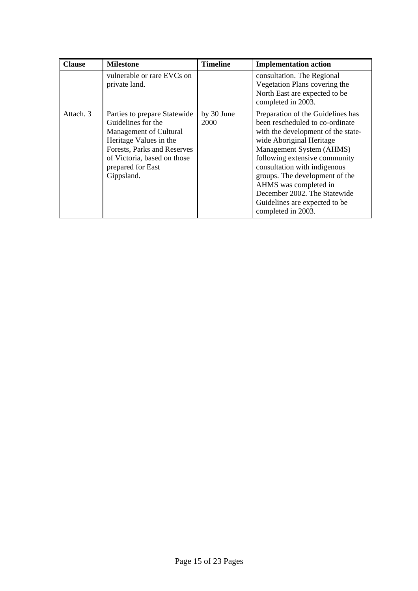| <b>Clause</b> | <b>Milestone</b>                                                                                                                                                                                        | <b>Timeline</b>    | <b>Implementation action</b>                                                                                                                                                                                                                                                                                                                                                          |
|---------------|---------------------------------------------------------------------------------------------------------------------------------------------------------------------------------------------------------|--------------------|---------------------------------------------------------------------------------------------------------------------------------------------------------------------------------------------------------------------------------------------------------------------------------------------------------------------------------------------------------------------------------------|
|               | vulnerable or rare EVCs on<br>private land.                                                                                                                                                             |                    | consultation. The Regional<br>Vegetation Plans covering the<br>North East are expected to be<br>completed in 2003.                                                                                                                                                                                                                                                                    |
| Attach, 3     | Parties to prepare Statewide<br>Guidelines for the<br>Management of Cultural<br>Heritage Values in the<br>Forests, Parks and Reserves<br>of Victoria, based on those<br>prepared for East<br>Gippsland. | by 30 June<br>2000 | Preparation of the Guidelines has<br>been rescheduled to co-ordinate<br>with the development of the state-<br>wide Aboriginal Heritage<br>Management System (AHMS)<br>following extensive community<br>consultation with indigenous<br>groups. The development of the<br>AHMS was completed in<br>December 2002. The Statewide<br>Guidelines are expected to be<br>completed in 2003. |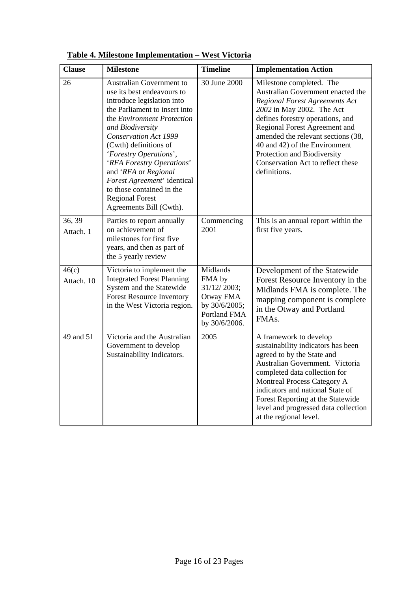| <b>Clause</b>       | <b>Milestone</b>                                                                                                                                                                                                                                                                                                                                                                                                                 | <b>Timeline</b>                                                                                         | <b>Implementation Action</b>                                                                                                                                                                                                                                                                                                                                 |
|---------------------|----------------------------------------------------------------------------------------------------------------------------------------------------------------------------------------------------------------------------------------------------------------------------------------------------------------------------------------------------------------------------------------------------------------------------------|---------------------------------------------------------------------------------------------------------|--------------------------------------------------------------------------------------------------------------------------------------------------------------------------------------------------------------------------------------------------------------------------------------------------------------------------------------------------------------|
| 26                  | <b>Australian Government to</b><br>use its best endeavours to<br>introduce legislation into<br>the Parliament to insert into<br>the Environment Protection<br>and Biodiversity<br>Conservation Act 1999<br>(Cwth) definitions of<br>'Forestry Operations',<br>'RFA Forestry Operations'<br>and 'RFA or Regional<br>Forest Agreement' identical<br>to those contained in the<br><b>Regional Forest</b><br>Agreements Bill (Cwth). | 30 June 2000                                                                                            | Milestone completed. The<br>Australian Government enacted the<br>Regional Forest Agreements Act<br>2002 in May 2002. The Act<br>defines forestry operations, and<br>Regional Forest Agreement and<br>amended the relevant sections (38,<br>40 and 42) of the Environment<br>Protection and Biodiversity<br>Conservation Act to reflect these<br>definitions. |
| 36, 39<br>Attach. 1 | Parties to report annually<br>on achievement of<br>milestones for first five<br>years, and then as part of<br>the 5 yearly review                                                                                                                                                                                                                                                                                                | Commencing<br>2001                                                                                      | This is an annual report within the<br>first five years.                                                                                                                                                                                                                                                                                                     |
| 46(c)<br>Attach. 10 | Victoria to implement the<br><b>Integrated Forest Planning</b><br>System and the Statewide<br><b>Forest Resource Inventory</b><br>in the West Victoria region.                                                                                                                                                                                                                                                                   | Midlands<br>FMA by<br>31/12/2003;<br>Otway FMA<br>by 30/6/2005;<br><b>Portland FMA</b><br>by 30/6/2006. | Development of the Statewide<br>Forest Resource Inventory in the<br>Midlands FMA is complete. The<br>mapping component is complete<br>in the Otway and Portland<br>FMA <sub>s</sub> .                                                                                                                                                                        |
| 49 and 51           | Victoria and the Australian<br>Government to develop<br>Sustainability Indicators.                                                                                                                                                                                                                                                                                                                                               | 2005                                                                                                    | A framework to develop<br>sustainability indicators has been<br>agreed to by the State and<br>Australian Government. Victoria<br>completed data collection for<br>Montreal Process Category A<br>indicators and national State of<br>Forest Reporting at the Statewide<br>level and progressed data collection<br>at the regional level.                     |

**Table 4. Milestone Implementation – West Victoria**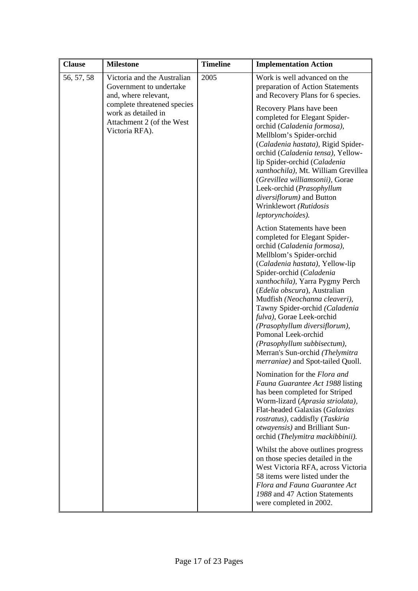| <b>Clause</b> | <b>Milestone</b>                                                                                  | <b>Timeline</b> | <b>Implementation Action</b>                                                                                                                                                                                                                                                                                                                                                                                                                                                                                                    |
|---------------|---------------------------------------------------------------------------------------------------|-----------------|---------------------------------------------------------------------------------------------------------------------------------------------------------------------------------------------------------------------------------------------------------------------------------------------------------------------------------------------------------------------------------------------------------------------------------------------------------------------------------------------------------------------------------|
| 56, 57, 58    | Victoria and the Australian<br>Government to undertake<br>and, where relevant,                    | 2005            | Work is well advanced on the<br>preparation of Action Statements<br>and Recovery Plans for 6 species.                                                                                                                                                                                                                                                                                                                                                                                                                           |
|               | complete threatened species<br>work as detailed in<br>Attachment 2 (of the West<br>Victoria RFA). |                 | Recovery Plans have been<br>completed for Elegant Spider-<br>orchid (Caladenia formosa),<br>Mellblom's Spider-orchid<br>(Caladenia hastata), Rigid Spider-<br>orchid (Caladenia tensa), Yellow-<br>lip Spider-orchid (Caladenia<br>xanthochila), Mt. William Grevillea<br>(Grevillea williamsonii), Gorae<br>Leek-orchid (Prasophyllum<br>diversiflorum) and Button<br>Wrinklewort (Rutidosis<br>leptorynchoides).                                                                                                              |
|               |                                                                                                   |                 | <b>Action Statements have been</b><br>completed for Elegant Spider-<br>orchid (Caladenia formosa),<br>Mellblom's Spider-orchid<br>(Caladenia hastata), Yellow-lip<br>Spider-orchid (Caladenia<br>xanthochila), Yarra Pygmy Perch<br>(Edelia obscura), Australian<br>Mudfish (Neochanna cleaveri),<br>Tawny Spider-orchid (Caladenia<br>fulva), Gorae Leek-orchid<br>(Prasophyllum diversiflorum),<br>Pomonal Leek-orchid<br>(Prasophyllum subbisectum),<br>Merran's Sun-orchid (Thelymitra<br>merraniae) and Spot-tailed Quoll. |
|               |                                                                                                   |                 | Nomination for the Flora and<br>Fauna Guarantee Act 1988 listing<br>has been completed for Striped<br>Worm-lizard (Aprasia striolata),<br>Flat-headed Galaxias (Galaxias<br>rostratus), caddisfly (Taskiria<br>otwayensis) and Brilliant Sun-<br>orchid (Thelymitra mackibbinii).                                                                                                                                                                                                                                               |
|               |                                                                                                   |                 | Whilst the above outlines progress<br>on those species detailed in the<br>West Victoria RFA, across Victoria<br>58 items were listed under the<br>Flora and Fauna Guarantee Act<br>1988 and 47 Action Statements<br>were completed in 2002.                                                                                                                                                                                                                                                                                     |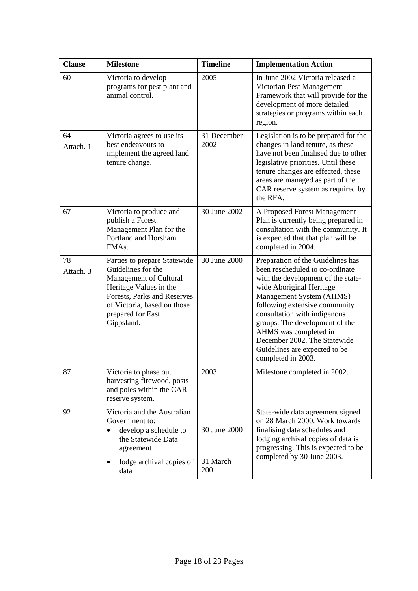| <b>Clause</b>   | <b>Milestone</b>                                                                                                                                                                                        | <b>Timeline</b>                  | <b>Implementation Action</b>                                                                                                                                                                                                                                                                                                                                                          |
|-----------------|---------------------------------------------------------------------------------------------------------------------------------------------------------------------------------------------------------|----------------------------------|---------------------------------------------------------------------------------------------------------------------------------------------------------------------------------------------------------------------------------------------------------------------------------------------------------------------------------------------------------------------------------------|
| 60              | Victoria to develop<br>programs for pest plant and<br>animal control.                                                                                                                                   | 2005                             | In June 2002 Victoria released a<br>Victorian Pest Management<br>Framework that will provide for the<br>development of more detailed<br>strategies or programs within each<br>region.                                                                                                                                                                                                 |
| 64<br>Attach. 1 | Victoria agrees to use its<br>best endeavours to<br>implement the agreed land<br>tenure change.                                                                                                         | 31 December<br>2002              | Legislation is to be prepared for the<br>changes in land tenure, as these<br>have not been finalised due to other<br>legislative priorities. Until these<br>tenure changes are effected, these<br>areas are managed as part of the<br>CAR reserve system as required by<br>the RFA.                                                                                                   |
| 67              | Victoria to produce and<br>publish a Forest<br>Management Plan for the<br>Portland and Horsham<br>FMA <sub>s</sub> .                                                                                    | 30 June 2002                     | A Proposed Forest Management<br>Plan is currently being prepared in<br>consultation with the community. It<br>is expected that that plan will be<br>completed in 2004.                                                                                                                                                                                                                |
| 78<br>Attach. 3 | Parties to prepare Statewide<br>Guidelines for the<br>Management of Cultural<br>Heritage Values in the<br>Forests, Parks and Reserves<br>of Victoria, based on those<br>prepared for East<br>Gippsland. | 30 June 2000                     | Preparation of the Guidelines has<br>been rescheduled to co-ordinate<br>with the development of the state-<br>wide Aboriginal Heritage<br>Management System (AHMS)<br>following extensive community<br>consultation with indigenous<br>groups. The development of the<br>AHMS was completed in<br>December 2002. The Statewide<br>Guidelines are expected to be<br>completed in 2003. |
| 87              | Victoria to phase out<br>harvesting firewood, posts<br>and poles within the CAR<br>reserve system.                                                                                                      | 2003                             | Milestone completed in 2002.                                                                                                                                                                                                                                                                                                                                                          |
| 92              | Victoria and the Australian<br>Government to:<br>develop a schedule to<br>$\bullet$<br>the Statewide Data<br>agreement<br>lodge archival copies of<br>data                                              | 30 June 2000<br>31 March<br>2001 | State-wide data agreement signed<br>on 28 March 2000. Work towards<br>finalising data schedules and<br>lodging archival copies of data is<br>progressing. This is expected to be<br>completed by 30 June 2003.                                                                                                                                                                        |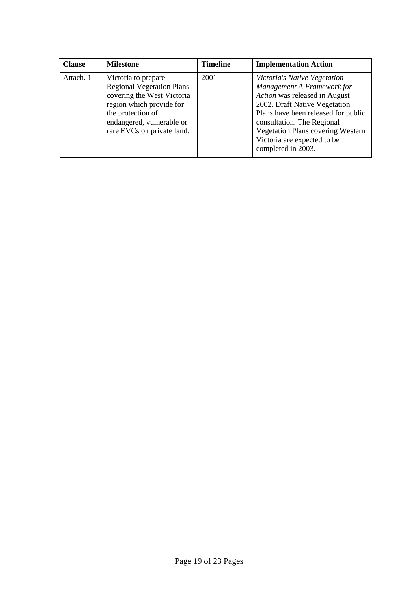| <b>Clause</b> | <b>Milestone</b>                                                                                                                                                                                  | <b>Timeline</b> | <b>Implementation Action</b>                                                                                                                                                                                                                                                                |
|---------------|---------------------------------------------------------------------------------------------------------------------------------------------------------------------------------------------------|-----------------|---------------------------------------------------------------------------------------------------------------------------------------------------------------------------------------------------------------------------------------------------------------------------------------------|
| Attach. 1     | Victoria to prepare<br><b>Regional Vegetation Plans</b><br>covering the West Victoria<br>region which provide for<br>the protection of<br>endangered, vulnerable or<br>rare EVCs on private land. | 2001            | Victoria's Native Vegetation<br>Management A Framework for<br>Action was released in August<br>2002. Draft Native Vegetation<br>Plans have been released for public<br>consultation. The Regional<br>Vegetation Plans covering Western<br>Victoria are expected to be<br>completed in 2003. |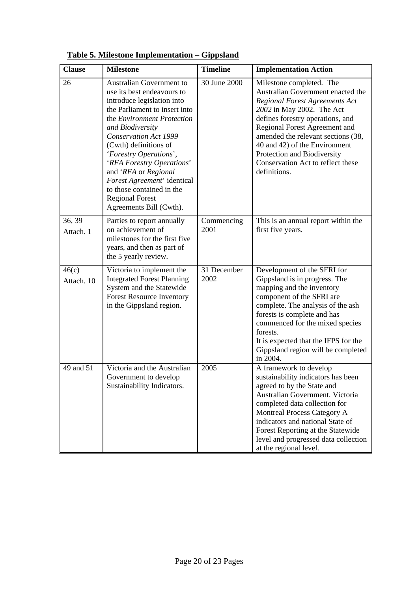| <b>Clause</b>       | <b>Milestone</b>                                                                                                                                                                                                                                                                                                                                                                                                                        | <b>Timeline</b>     | <b>Implementation Action</b>                                                                                                                                                                                                                                                                                                                                        |
|---------------------|-----------------------------------------------------------------------------------------------------------------------------------------------------------------------------------------------------------------------------------------------------------------------------------------------------------------------------------------------------------------------------------------------------------------------------------------|---------------------|---------------------------------------------------------------------------------------------------------------------------------------------------------------------------------------------------------------------------------------------------------------------------------------------------------------------------------------------------------------------|
| 26                  | <b>Australian Government to</b><br>use its best endeavours to<br>introduce legislation into<br>the Parliament to insert into<br>the Environment Protection<br>and Biodiversity<br><b>Conservation Act 1999</b><br>(Cwth) definitions of<br>'Forestry Operations',<br>'RFA Forestry Operations'<br>and 'RFA or Regional<br>Forest Agreement' identical<br>to those contained in the<br><b>Regional Forest</b><br>Agreements Bill (Cwth). | 30 June 2000        | Milestone completed. The<br>Australian Government enacted the<br><b>Regional Forest Agreements Act</b><br>2002 in May 2002. The Act<br>defines forestry operations, and<br>Regional Forest Agreement and<br>amended the relevant sections (38,<br>40 and 42) of the Environment<br>Protection and Biodiversity<br>Conservation Act to reflect these<br>definitions. |
| 36, 39<br>Attach. 1 | Parties to report annually<br>on achievement of<br>milestones for the first five<br>years, and then as part of<br>the 5 yearly review.                                                                                                                                                                                                                                                                                                  | Commencing<br>2001  | This is an annual report within the<br>first five years.                                                                                                                                                                                                                                                                                                            |
| 46(c)<br>Attach. 10 | Victoria to implement the<br><b>Integrated Forest Planning</b><br>System and the Statewide<br><b>Forest Resource Inventory</b><br>in the Gippsland region.                                                                                                                                                                                                                                                                              | 31 December<br>2002 | Development of the SFRI for<br>Gippsland is in progress. The<br>mapping and the inventory<br>component of the SFRI are<br>complete. The analysis of the ash<br>forests is complete and has<br>commenced for the mixed species<br>forests.<br>It is expected that the IFPS for the<br>Gippsland region will be completed<br>in 2004.                                 |
| 49 and 51           | Victoria and the Australian<br>Government to develop<br>Sustainability Indicators.                                                                                                                                                                                                                                                                                                                                                      | 2005                | A framework to develop<br>sustainability indicators has been<br>agreed to by the State and<br>Australian Government. Victoria<br>completed data collection for<br><b>Montreal Process Category A</b><br>indicators and national State of<br>Forest Reporting at the Statewide<br>level and progressed data collection<br>at the regional level.                     |

**Table 5. Milestone Implementation – Gippsland**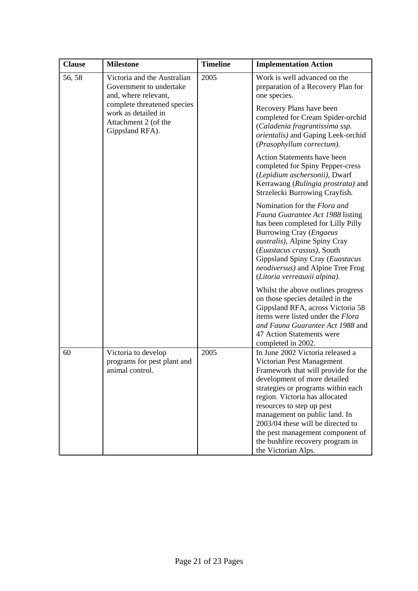| <b>Clause</b> | <b>Milestone</b>                                                                              | <b>Timeline</b> | <b>Implementation Action</b>                                                                                                                                                                                                                                                                                                                                                                                   |
|---------------|-----------------------------------------------------------------------------------------------|-----------------|----------------------------------------------------------------------------------------------------------------------------------------------------------------------------------------------------------------------------------------------------------------------------------------------------------------------------------------------------------------------------------------------------------------|
| 56, 58        | Victoria and the Australian<br>Government to undertake<br>and, where relevant,                | 2005            | Work is well advanced on the<br>preparation of a Recovery Plan for<br>one species.                                                                                                                                                                                                                                                                                                                             |
|               | complete threatened species<br>work as detailed in<br>Attachment 2 (of the<br>Gippsland RFA). |                 | Recovery Plans have been<br>completed for Cream Spider-orchid<br>(Caladenia fragrantissima ssp.<br>orientalis) and Gaping Leek-orchid<br>(Prasophyllum correctum).                                                                                                                                                                                                                                             |
|               |                                                                                               |                 | Action Statements have been<br>completed for Spiny Pepper-cress<br>(Lepidium aschersonii), Dwarf<br>Kerrawang (Rulingia prostrata) and<br>Strzelecki Burrowing Crayfish.                                                                                                                                                                                                                                       |
|               |                                                                                               |                 | Nomination for the Flora and<br>Fauna Guarantee Act 1988 listing<br>has been completed for Lilly Pilly<br><b>Burrowing Cray (Engaeus</b><br><i>australis</i> ), Alpine Spiny Cray<br>(Euastacus crassus), South<br>Gippsland Spiny Cray (Euastacus<br>neodiversus) and Alpine Tree Frog<br>(Litoria verreauxii alpina).                                                                                        |
|               |                                                                                               |                 | Whilst the above outlines progress<br>on those species detailed in the<br>Gippsland RFA, across Victoria 58<br>items were listed under the Flora<br>and Fauna Guarantee Act 1988 and<br>47 Action Statements were<br>completed in 2002.                                                                                                                                                                        |
| 60            | Victoria to develop<br>programs for pest plant and<br>animal control.                         | 2005            | In June 2002 Victoria released a<br>Victorian Pest Management<br>Framework that will provide for the<br>development of more detailed<br>strategies or programs within each<br>region. Victoria has allocated<br>resources to step up pest<br>management on public land. In<br>2003/04 these will be directed to<br>the pest management component of<br>the bushfire recovery program in<br>the Victorian Alps. |